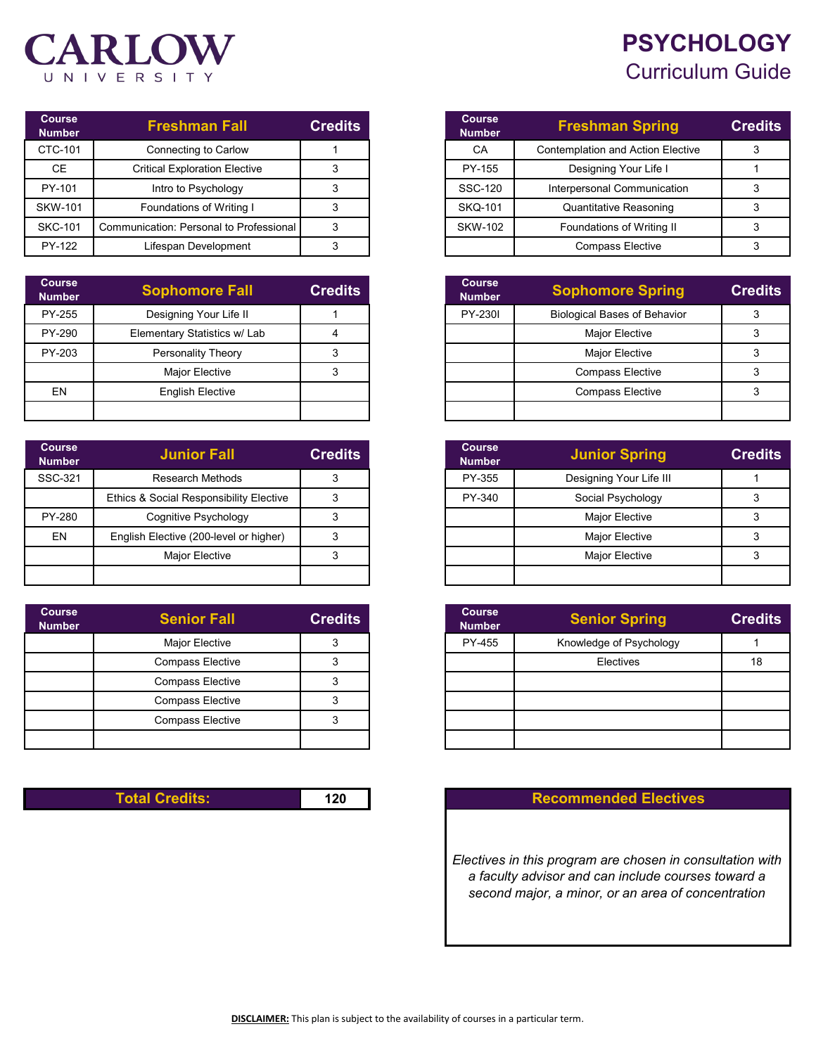## **PSYCHOLOGY** Curriculum Guide



| <b>Course</b><br><b>Number</b> | <b>Freshman Fall</b>                    | <b>Credits</b> |
|--------------------------------|-----------------------------------------|----------------|
| CTC-101                        | Connecting to Carlow                    |                |
| <b>CE</b>                      | <b>Critical Exploration Elective</b>    |                |
| PY-101                         | Intro to Psychology                     |                |
| <b>SKW-101</b>                 | Foundations of Writing I                |                |
| <b>SKC-101</b>                 | Communication: Personal to Professional |                |
| PY-122                         | Lifespan Development                    |                |

| <b>Course</b><br><b>Number</b> | <b>Sophomore Fall</b>        | <b>Credits</b> |
|--------------------------------|------------------------------|----------------|
| PY-255                         | Designing Your Life II       |                |
| PY-290                         | Elementary Statistics w/ Lab |                |
| PY-203                         | Personality Theory           |                |
|                                | <b>Major Elective</b>        | っ              |
| EN                             | <b>English Elective</b>      |                |
|                                |                              |                |

| <b>Course</b><br><b>Number</b> | <b>Junior Fall</b>                      | <b>Credits</b> | <b>Course</b><br><b>Number</b> | <b>Junior Spring</b>    |  |
|--------------------------------|-----------------------------------------|----------------|--------------------------------|-------------------------|--|
| SSC-321                        | <b>Research Methods</b>                 |                | PY-355                         | Designing Your Life III |  |
|                                | Ethics & Social Responsibility Elective |                | PY-340                         | Social Psychology       |  |
| PY-280                         | Cognitive Psychology                    |                |                                | <b>Major Elective</b>   |  |
| EN                             | English Elective (200-level or higher)  |                |                                | <b>Major Elective</b>   |  |
|                                | <b>Major Elective</b>                   | 3              |                                | <b>Major Elective</b>   |  |
|                                |                                         |                |                                |                         |  |

| <b>Course</b><br><b>Number</b> | <b>Senior Fall</b>      | <b>Credits</b> |  |
|--------------------------------|-------------------------|----------------|--|
|                                | Major Elective          | 3              |  |
|                                | <b>Compass Elective</b> | 3              |  |
|                                | <b>Compass Elective</b> | 3              |  |
|                                | <b>Compass Elective</b> |                |  |
|                                | <b>Compass Elective</b> |                |  |
|                                |                         |                |  |

| Course<br><b>Number</b> | <b>Freshman Spring</b>                   | <b>Credits</b> |
|-------------------------|------------------------------------------|----------------|
| CA                      | <b>Contemplation and Action Elective</b> |                |
| PY-155                  | Designing Your Life I                    |                |
| SSC-120                 | Interpersonal Communication              |                |
| <b>SKQ-101</b>          | <b>Quantitative Reasoning</b>            |                |
| <b>SKW-102</b>          | Foundations of Writing II                |                |
|                         | <b>Compass Elective</b>                  |                |

| phomore Fall            | <b>Credits</b> | <b>Course</b><br><b>Number</b> | <b>Sophomore Spring</b>             | <b>Credits</b> |
|-------------------------|----------------|--------------------------------|-------------------------------------|----------------|
| igning Your Life II     |                | <b>PY-2301</b>                 | <b>Biological Bases of Behavior</b> |                |
| itary Statistics w/ Lab |                |                                | <b>Major Elective</b>               |                |
| ersonality Theory       |                |                                | <b>Major Elective</b>               |                |
| Major Elective          |                |                                | <b>Compass Elective</b>             |                |
| Inglish Elective        |                |                                | <b>Compass Elective</b>             |                |
|                         |                |                                |                                     |                |

| <b>Junior Fall</b>                      | <b>Credits</b> | <b>Course</b><br><b>Number</b> | <b>Junior Spring</b>    | <b>Credits</b> |
|-----------------------------------------|----------------|--------------------------------|-------------------------|----------------|
| Research Methods                        |                | PY-355                         | Designing Your Life III |                |
| Ethics & Social Responsibility Elective |                | PY-340                         | Social Psychology       |                |
| Cognitive Psychology                    |                |                                | <b>Major Elective</b>   |                |
| English Elective (200-level or higher)  |                |                                | <b>Major Elective</b>   |                |
| Major Elective                          |                |                                | <b>Major Elective</b>   |                |
|                                         |                |                                |                         |                |

| <b>Senior Fall</b>      | <b>Credits</b> | <b>Course</b><br><b>Number</b> | <b>Senior Spring</b>    | <b>Credits</b> |
|-------------------------|----------------|--------------------------------|-------------------------|----------------|
| <b>Major Elective</b>   |                | PY-455                         | Knowledge of Psychology |                |
| <b>Compass Elective</b> |                |                                | Electives               | 18             |
| <b>Compass Elective</b> |                |                                |                         |                |
| <b>Compass Elective</b> |                |                                |                         |                |
| <b>Compass Elective</b> |                |                                |                         |                |
|                         |                |                                |                         |                |

## **Total Credits: 120 Recommended Electives**

*Electives in this program are chosen in consultation with a faculty advisor and can include courses toward a second major, a minor, or an area of concentration*